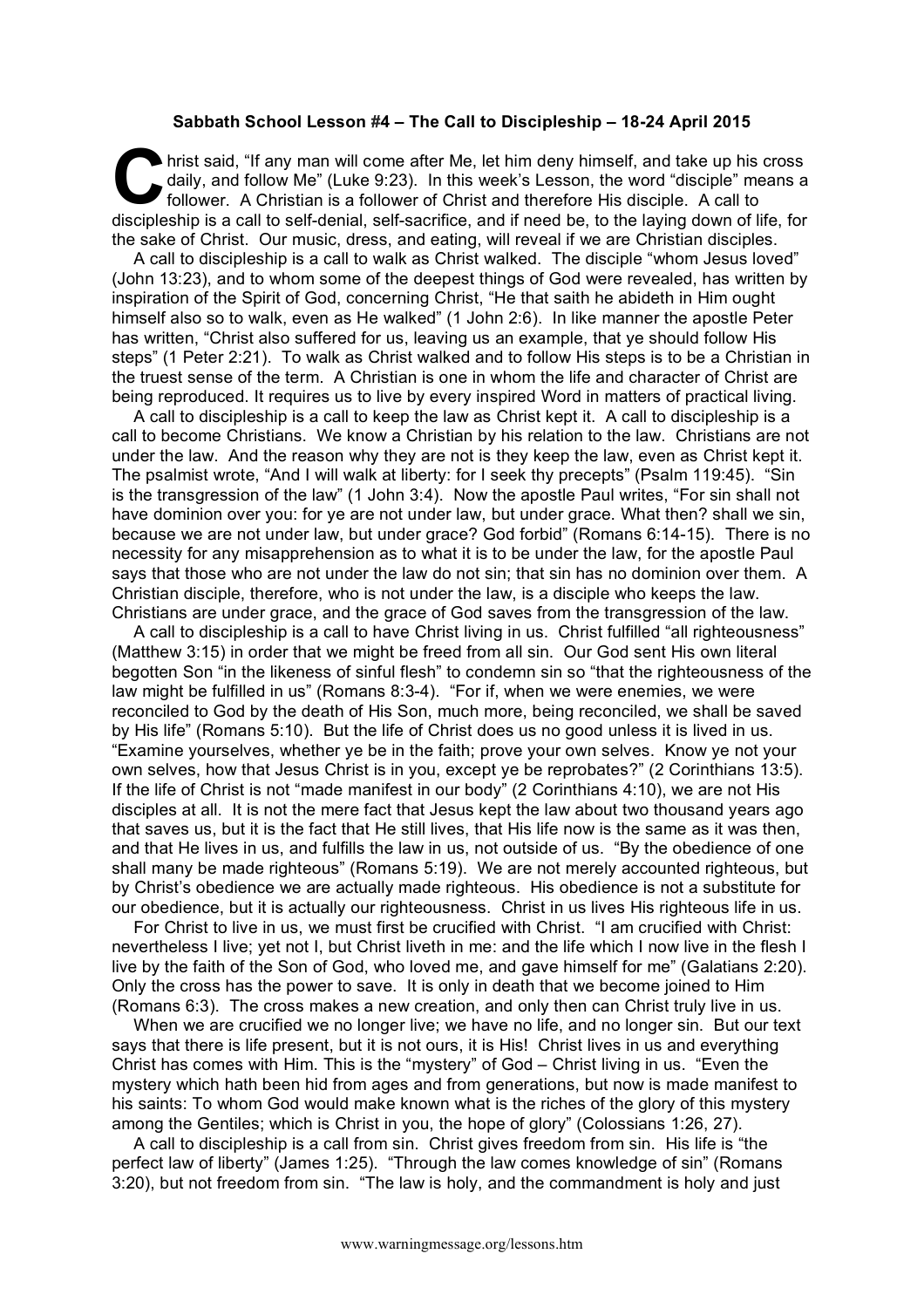## **Sabbath School Lesson #4 – The Call to Discipleship – 18-24 April 2015**

hrist said, "If any man will come after Me, let him deny himself, and take up his cross daily, and follow Me" (Luke 9:23). In this week's Lesson, the word "disciple" means a follower. A Christian is a follower of Christ and therefore His disciple. A call to discipleship is a call to self-denial, self-sacrifice, and if need be, to the laying down of life, for the sake of Christ. Our music, dress, and eating, will reveal if we are Christian disciples. **C**<br>dai<br>figureshed

A call to discipleship is a call to walk as Christ walked. The disciple "whom Jesus loved" (John 13:23), and to whom some of the deepest things of God were revealed, has written by inspiration of the Spirit of God, concerning Christ, "He that saith he abideth in Him ought himself also so to walk, even as He walked" (1 John 2:6). In like manner the apostle Peter has written, "Christ also suffered for us, leaving us an example, that ye should follow His steps" (1 Peter 2:21). To walk as Christ walked and to follow His steps is to be a Christian in the truest sense of the term. A Christian is one in whom the life and character of Christ are being reproduced. It requires us to live by every inspired Word in matters of practical living.

A call to discipleship is a call to keep the law as Christ kept it. A call to discipleship is a call to become Christians. We know a Christian by his relation to the law. Christians are not under the law. And the reason why they are not is they keep the law, even as Christ kept it. The psalmist wrote, "And I will walk at liberty: for I seek thy precepts" (Psalm 119:45). "Sin is the transgression of the law" (1 John 3:4). Now the apostle Paul writes, "For sin shall not have dominion over you: for ye are not under law, but under grace. What then? shall we sin, because we are not under law, but under grace? God forbid" (Romans 6:14-15). There is no necessity for any misapprehension as to what it is to be under the law, for the apostle Paul says that those who are not under the law do not sin; that sin has no dominion over them. A Christian disciple, therefore, who is not under the law, is a disciple who keeps the law. Christians are under grace, and the grace of God saves from the transgression of the law.

A call to discipleship is a call to have Christ living in us. Christ fulfilled "all righteousness" (Matthew 3:15) in order that we might be freed from all sin. Our God sent His own literal begotten Son "in the likeness of sinful flesh" to condemn sin so "that the righteousness of the law might be fulfilled in us" (Romans 8:3-4). "For if, when we were enemies, we were reconciled to God by the death of His Son, much more, being reconciled, we shall be saved by His life" (Romans 5:10). But the life of Christ does us no good unless it is lived in us. "Examine yourselves, whether ye be in the faith; prove your own selves. Know ye not your own selves, how that Jesus Christ is in you, except ye be reprobates?" (2 Corinthians 13:5). If the life of Christ is not "made manifest in our body" (2 Corinthians 4:10), we are not His disciples at all. It is not the mere fact that Jesus kept the law about two thousand years ago that saves us, but it is the fact that He still lives, that His life now is the same as it was then, and that He lives in us, and fulfills the law in us, not outside of us. "By the obedience of one shall many be made righteous" (Romans 5:19). We are not merely accounted righteous, but by Christ's obedience we are actually made righteous. His obedience is not a substitute for our obedience, but it is actually our righteousness. Christ in us lives His righteous life in us.

For Christ to live in us, we must first be crucified with Christ. "I am crucified with Christ: nevertheless I live; yet not I, but Christ liveth in me: and the life which I now live in the flesh I live by the faith of the Son of God, who loved me, and gave himself for me" (Galatians 2:20). Only the cross has the power to save. It is only in death that we become joined to Him (Romans 6:3). The cross makes a new creation, and only then can Christ truly live in us.

When we are crucified we no longer live; we have no life, and no longer sin. But our text says that there is life present, but it is not ours, it is His! Christ lives in us and everything Christ has comes with Him. This is the "mystery" of God – Christ living in us. "Even the mystery which hath been hid from ages and from generations, but now is made manifest to his saints: To whom God would make known what is the riches of the glory of this mystery among the Gentiles; which is Christ in you, the hope of glory" (Colossians 1:26, 27).

A call to discipleship is a call from sin. Christ gives freedom from sin. His life is "the perfect law of liberty" (James 1:25). "Through the law comes knowledge of sin" (Romans 3:20), but not freedom from sin. "The law is holy, and the commandment is holy and just